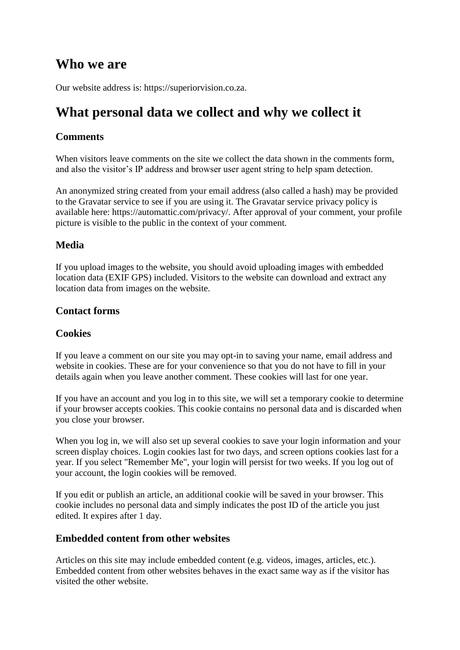### **Who we are**

Our website address is: https://superiorvision.co.za.

## **What personal data we collect and why we collect it**

#### **Comments**

When visitors leave comments on the site we collect the data shown in the comments form. and also the visitor's IP address and browser user agent string to help spam detection.

An anonymized string created from your email address (also called a hash) may be provided to the Gravatar service to see if you are using it. The Gravatar service privacy policy is available here: https://automattic.com/privacy/. After approval of your comment, your profile picture is visible to the public in the context of your comment.

#### **Media**

If you upload images to the website, you should avoid uploading images with embedded location data (EXIF GPS) included. Visitors to the website can download and extract any location data from images on the website.

#### **Contact forms**

#### **Cookies**

If you leave a comment on our site you may opt-in to saving your name, email address and website in cookies. These are for your convenience so that you do not have to fill in your details again when you leave another comment. These cookies will last for one year.

If you have an account and you log in to this site, we will set a temporary cookie to determine if your browser accepts cookies. This cookie contains no personal data and is discarded when you close your browser.

When you log in, we will also set up several cookies to save your login information and your screen display choices. Login cookies last for two days, and screen options cookies last for a year. If you select "Remember Me", your login will persist for two weeks. If you log out of your account, the login cookies will be removed.

If you edit or publish an article, an additional cookie will be saved in your browser. This cookie includes no personal data and simply indicates the post ID of the article you just edited. It expires after 1 day.

#### **Embedded content from other websites**

Articles on this site may include embedded content (e.g. videos, images, articles, etc.). Embedded content from other websites behaves in the exact same way as if the visitor has visited the other website.